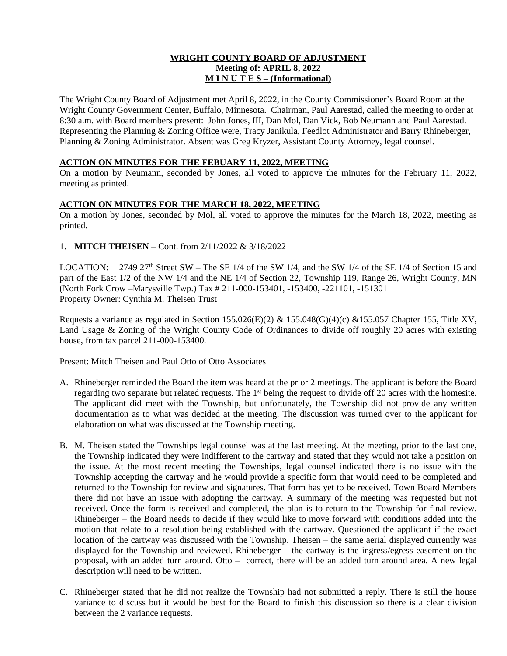## **WRIGHT COUNTY BOARD OF ADJUSTMENT Meeting of: APRIL 8, 2022 M I N U T E S – (Informational)**

The Wright County Board of Adjustment met April 8, 2022, in the County Commissioner's Board Room at the Wright County Government Center, Buffalo, Minnesota. Chairman, Paul Aarestad, called the meeting to order at 8:30 a.m. with Board members present: John Jones, III, Dan Mol, Dan Vick, Bob Neumann and Paul Aarestad. Representing the Planning & Zoning Office were, Tracy Janikula, Feedlot Administrator and Barry Rhineberger, Planning & Zoning Administrator. Absent was Greg Kryzer, Assistant County Attorney, legal counsel.

## **ACTION ON MINUTES FOR THE FEBUARY 11, 2022, MEETING**

On a motion by Neumann, seconded by Jones, all voted to approve the minutes for the February 11, 2022, meeting as printed.

# **ACTION ON MINUTES FOR THE MARCH 18, 2022, MEETING**

On a motion by Jones, seconded by Mol, all voted to approve the minutes for the March 18, 2022, meeting as printed.

1. **MITCH THEISEN** – Cont. from 2/11/2022 & 3/18/2022

LOCATION: 2749 27<sup>th</sup> Street SW – The SE 1/4 of the SW 1/4, and the SW 1/4 of the SE 1/4 of Section 15 and part of the East 1/2 of the NW 1/4 and the NE 1/4 of Section 22, Township 119, Range 26, Wright County, MN (North Fork Crow –Marysville Twp.) Tax # 211-000-153401, -153400, -221101, -151301 Property Owner: Cynthia M. Theisen Trust

Requests a variance as regulated in Section 155.026(E)(2) & 155.048(G)(4)(c) & 155.057 Chapter 155, Title XV, Land Usage & Zoning of the Wright County Code of Ordinances to divide off roughly 20 acres with existing house, from tax parcel 211-000-153400.

Present: Mitch Theisen and Paul Otto of Otto Associates

- A. Rhineberger reminded the Board the item was heard at the prior 2 meetings. The applicant is before the Board regarding two separate but related requests. The 1<sup>st</sup> being the request to divide off 20 acres with the homesite. The applicant did meet with the Township, but unfortunately, the Township did not provide any written documentation as to what was decided at the meeting. The discussion was turned over to the applicant for elaboration on what was discussed at the Township meeting.
- B. M. Theisen stated the Townships legal counsel was at the last meeting. At the meeting, prior to the last one, the Township indicated they were indifferent to the cartway and stated that they would not take a position on the issue. At the most recent meeting the Townships, legal counsel indicated there is no issue with the Township accepting the cartway and he would provide a specific form that would need to be completed and returned to the Township for review and signatures. That form has yet to be received. Town Board Members there did not have an issue with adopting the cartway. A summary of the meeting was requested but not received. Once the form is received and completed, the plan is to return to the Township for final review. Rhineberger – the Board needs to decide if they would like to move forward with conditions added into the motion that relate to a resolution being established with the cartway. Questioned the applicant if the exact location of the cartway was discussed with the Township. Theisen – the same aerial displayed currently was displayed for the Township and reviewed. Rhineberger – the cartway is the ingress/egress easement on the proposal, with an added turn around. Otto – correct, there will be an added turn around area. A new legal description will need to be written.
- C. Rhineberger stated that he did not realize the Township had not submitted a reply. There is still the house variance to discuss but it would be best for the Board to finish this discussion so there is a clear division between the 2 variance requests.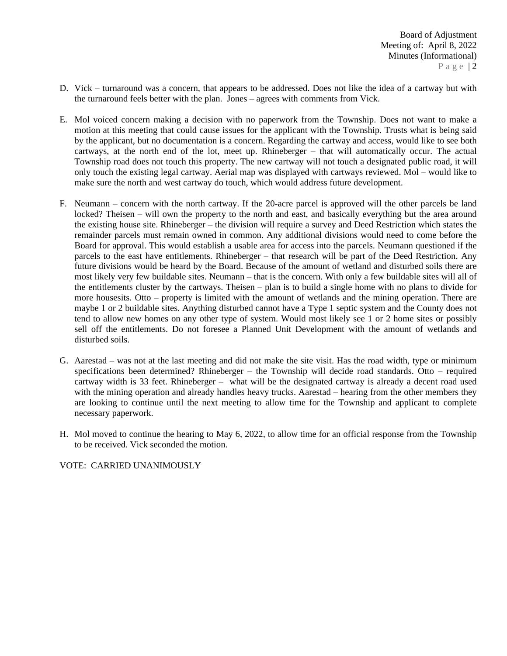- D. Vick turnaround was a concern, that appears to be addressed. Does not like the idea of a cartway but with the turnaround feels better with the plan. Jones – agrees with comments from Vick.
- E. Mol voiced concern making a decision with no paperwork from the Township. Does not want to make a motion at this meeting that could cause issues for the applicant with the Township. Trusts what is being said by the applicant, but no documentation is a concern. Regarding the cartway and access, would like to see both cartways, at the north end of the lot, meet up. Rhineberger – that will automatically occur. The actual Township road does not touch this property. The new cartway will not touch a designated public road, it will only touch the existing legal cartway. Aerial map was displayed with cartways reviewed. Mol – would like to make sure the north and west cartway do touch, which would address future development.
- F. Neumann concern with the north cartway. If the 20-acre parcel is approved will the other parcels be land locked? Theisen – will own the property to the north and east, and basically everything but the area around the existing house site. Rhineberger – the division will require a survey and Deed Restriction which states the remainder parcels must remain owned in common. Any additional divisions would need to come before the Board for approval. This would establish a usable area for access into the parcels. Neumann questioned if the parcels to the east have entitlements. Rhineberger – that research will be part of the Deed Restriction. Any future divisions would be heard by the Board. Because of the amount of wetland and disturbed soils there are most likely very few buildable sites. Neumann – that is the concern. With only a few buildable sites will all of the entitlements cluster by the cartways. Theisen – plan is to build a single home with no plans to divide for more housesits. Otto – property is limited with the amount of wetlands and the mining operation. There are maybe 1 or 2 buildable sites. Anything disturbed cannot have a Type 1 septic system and the County does not tend to allow new homes on any other type of system. Would most likely see 1 or 2 home sites or possibly sell off the entitlements. Do not foresee a Planned Unit Development with the amount of wetlands and disturbed soils.
- G. Aarestad was not at the last meeting and did not make the site visit. Has the road width, type or minimum specifications been determined? Rhineberger – the Township will decide road standards. Otto – required cartway width is 33 feet. Rhineberger – what will be the designated cartway is already a decent road used with the mining operation and already handles heavy trucks. Aarestad – hearing from the other members they are looking to continue until the next meeting to allow time for the Township and applicant to complete necessary paperwork.
- H. Mol moved to continue the hearing to May 6, 2022, to allow time for an official response from the Township to be received. Vick seconded the motion.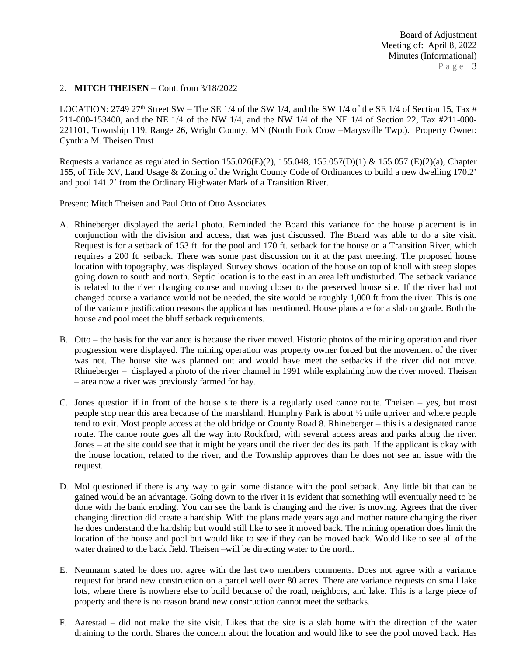## 2. **MITCH THEISEN** – Cont. from 3/18/2022

LOCATION: 2749 27<sup>th</sup> Street SW – The SE 1/4 of the SW 1/4, and the SW 1/4 of the SE 1/4 of Section 15, Tax # 211-000-153400, and the NE 1/4 of the NW 1/4, and the NW 1/4 of the NE 1/4 of Section 22, Tax #211-000- 221101, Township 119, Range 26, Wright County, MN (North Fork Crow –Marysville Twp.). Property Owner: Cynthia M. Theisen Trust

Requests a variance as regulated in Section 155.026(E)(2), 155.048, 155.057(D)(1) & 155.057 (E)(2)(a), Chapter 155, of Title XV, Land Usage & Zoning of the Wright County Code of Ordinances to build a new dwelling 170.2' and pool 141.2' from the Ordinary Highwater Mark of a Transition River.

Present: Mitch Theisen and Paul Otto of Otto Associates

- A. Rhineberger displayed the aerial photo. Reminded the Board this variance for the house placement is in conjunction with the division and access, that was just discussed. The Board was able to do a site visit. Request is for a setback of 153 ft. for the pool and 170 ft. setback for the house on a Transition River, which requires a 200 ft. setback. There was some past discussion on it at the past meeting. The proposed house location with topography, was displayed. Survey shows location of the house on top of knoll with steep slopes going down to south and north. Septic location is to the east in an area left undisturbed. The setback variance is related to the river changing course and moving closer to the preserved house site. If the river had not changed course a variance would not be needed, the site would be roughly 1,000 ft from the river. This is one of the variance justification reasons the applicant has mentioned. House plans are for a slab on grade. Both the house and pool meet the bluff setback requirements.
- B. Otto the basis for the variance is because the river moved. Historic photos of the mining operation and river progression were displayed. The mining operation was property owner forced but the movement of the river was not. The house site was planned out and would have meet the setbacks if the river did not move. Rhineberger – displayed a photo of the river channel in 1991 while explaining how the river moved. Theisen – area now a river was previously farmed for hay.
- C. Jones question if in front of the house site there is a regularly used canoe route. Theisen yes, but most people stop near this area because of the marshland. Humphry Park is about ½ mile upriver and where people tend to exit. Most people access at the old bridge or County Road 8. Rhineberger – this is a designated canoe route. The canoe route goes all the way into Rockford, with several access areas and parks along the river. Jones – at the site could see that it might be years until the river decides its path. If the applicant is okay with the house location, related to the river, and the Township approves than he does not see an issue with the request.
- D. Mol questioned if there is any way to gain some distance with the pool setback. Any little bit that can be gained would be an advantage. Going down to the river it is evident that something will eventually need to be done with the bank eroding. You can see the bank is changing and the river is moving. Agrees that the river changing direction did create a hardship. With the plans made years ago and mother nature changing the river he does understand the hardship but would still like to see it moved back. The mining operation does limit the location of the house and pool but would like to see if they can be moved back. Would like to see all of the water drained to the back field. Theisen –will be directing water to the north.
- E. Neumann stated he does not agree with the last two members comments. Does not agree with a variance request for brand new construction on a parcel well over 80 acres. There are variance requests on small lake lots, where there is nowhere else to build because of the road, neighbors, and lake. This is a large piece of property and there is no reason brand new construction cannot meet the setbacks.
- F. Aarestad did not make the site visit. Likes that the site is a slab home with the direction of the water draining to the north. Shares the concern about the location and would like to see the pool moved back. Has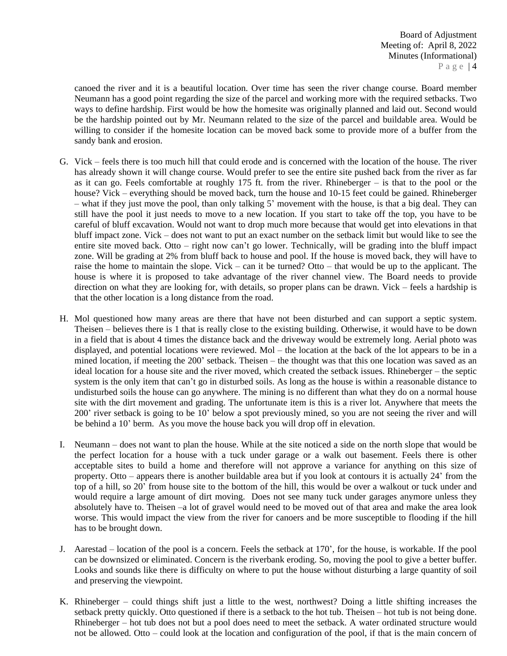canoed the river and it is a beautiful location. Over time has seen the river change course. Board member Neumann has a good point regarding the size of the parcel and working more with the required setbacks. Two ways to define hardship. First would be how the homesite was originally planned and laid out. Second would be the hardship pointed out by Mr. Neumann related to the size of the parcel and buildable area. Would be willing to consider if the homesite location can be moved back some to provide more of a buffer from the sandy bank and erosion.

- G. Vick feels there is too much hill that could erode and is concerned with the location of the house. The river has already shown it will change course. Would prefer to see the entire site pushed back from the river as far as it can go. Feels comfortable at roughly 175 ft. from the river. Rhineberger – is that to the pool or the house? Vick – everything should be moved back, turn the house and 10-15 feet could be gained. Rhineberger – what if they just move the pool, than only talking 5' movement with the house, is that a big deal. They can still have the pool it just needs to move to a new location. If you start to take off the top, you have to be careful of bluff excavation. Would not want to drop much more because that would get into elevations in that bluff impact zone. Vick – does not want to put an exact number on the setback limit but would like to see the entire site moved back. Otto – right now can't go lower. Technically, will be grading into the bluff impact zone. Will be grading at 2% from bluff back to house and pool. If the house is moved back, they will have to raise the home to maintain the slope. Vick – can it be turned? Otto – that would be up to the applicant. The house is where it is proposed to take advantage of the river channel view. The Board needs to provide direction on what they are looking for, with details, so proper plans can be drawn. Vick – feels a hardship is that the other location is a long distance from the road.
- H. Mol questioned how many areas are there that have not been disturbed and can support a septic system. Theisen – believes there is 1 that is really close to the existing building. Otherwise, it would have to be down in a field that is about 4 times the distance back and the driveway would be extremely long. Aerial photo was displayed, and potential locations were reviewed. Mol – the location at the back of the lot appears to be in a mined location, if meeting the 200' setback. Theisen – the thought was that this one location was saved as an ideal location for a house site and the river moved, which created the setback issues. Rhineberger – the septic system is the only item that can't go in disturbed soils. As long as the house is within a reasonable distance to undisturbed soils the house can go anywhere. The mining is no different than what they do on a normal house site with the dirt movement and grading. The unfortunate item is this is a river lot. Anywhere that meets the 200' river setback is going to be 10' below a spot previously mined, so you are not seeing the river and will be behind a 10' berm. As you move the house back you will drop off in elevation.
- I. Neumann does not want to plan the house. While at the site noticed a side on the north slope that would be the perfect location for a house with a tuck under garage or a walk out basement. Feels there is other acceptable sites to build a home and therefore will not approve a variance for anything on this size of property. Otto – appears there is another buildable area but if you look at contours it is actually 24' from the top of a hill, so 20' from house site to the bottom of the hill, this would be over a walkout or tuck under and would require a large amount of dirt moving. Does not see many tuck under garages anymore unless they absolutely have to. Theisen –a lot of gravel would need to be moved out of that area and make the area look worse. This would impact the view from the river for canoers and be more susceptible to flooding if the hill has to be brought down.
- J. Aarestad location of the pool is a concern. Feels the setback at 170', for the house, is workable. If the pool can be downsized or eliminated. Concern is the riverbank eroding. So, moving the pool to give a better buffer. Looks and sounds like there is difficulty on where to put the house without disturbing a large quantity of soil and preserving the viewpoint.
- K. Rhineberger could things shift just a little to the west, northwest? Doing a little shifting increases the setback pretty quickly. Otto questioned if there is a setback to the hot tub. Theisen – hot tub is not being done. Rhineberger – hot tub does not but a pool does need to meet the setback. A water ordinated structure would not be allowed. Otto – could look at the location and configuration of the pool, if that is the main concern of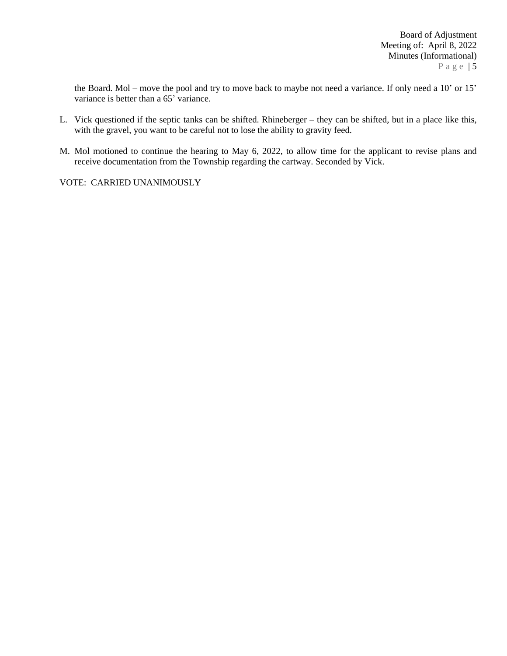the Board. Mol – move the pool and try to move back to maybe not need a variance. If only need a 10' or 15' variance is better than a 65<sup>'</sup> variance.

- L. Vick questioned if the septic tanks can be shifted. Rhineberger they can be shifted, but in a place like this, with the gravel, you want to be careful not to lose the ability to gravity feed.
- M. Mol motioned to continue the hearing to May 6, 2022, to allow time for the applicant to revise plans and receive documentation from the Township regarding the cartway. Seconded by Vick.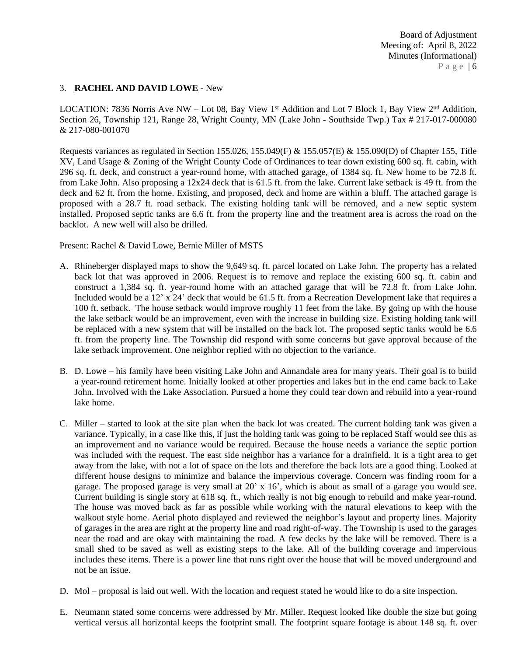## 3. **RACHEL AND DAVID LOWE** - New

LOCATION: 7836 Norris Ave NW - Lot 08, Bay View 1<sup>st</sup> Addition and Lot 7 Block 1, Bay View 2<sup>nd</sup> Addition, Section 26, Township 121, Range 28, Wright County, MN (Lake John - Southside Twp.) Tax # 217-017-000080 & 217-080-001070

Requests variances as regulated in Section 155.026, 155.049(F) & 155.057(E) & 155.090(D) of Chapter 155, Title XV, Land Usage & Zoning of the Wright County Code of Ordinances to tear down existing 600 sq. ft. cabin, with 296 sq. ft. deck, and construct a year-round home, with attached garage, of 1384 sq. ft. New home to be 72.8 ft. from Lake John. Also proposing a 12x24 deck that is 61.5 ft. from the lake. Current lake setback is 49 ft. from the deck and 62 ft. from the home. Existing, and proposed, deck and home are within a bluff. The attached garage is proposed with a 28.7 ft. road setback. The existing holding tank will be removed, and a new septic system installed. Proposed septic tanks are 6.6 ft. from the property line and the treatment area is across the road on the backlot. A new well will also be drilled.

Present: Rachel & David Lowe, Bernie Miller of MSTS

- A. Rhineberger displayed maps to show the 9,649 sq. ft. parcel located on Lake John. The property has a related back lot that was approved in 2006. Request is to remove and replace the existing 600 sq. ft. cabin and construct a 1,384 sq. ft. year-round home with an attached garage that will be 72.8 ft. from Lake John. Included would be a 12' x 24' deck that would be 61.5 ft. from a Recreation Development lake that requires a 100 ft. setback. The house setback would improve roughly 11 feet from the lake. By going up with the house the lake setback would be an improvement, even with the increase in building size. Existing holding tank will be replaced with a new system that will be installed on the back lot. The proposed septic tanks would be 6.6 ft. from the property line. The Township did respond with some concerns but gave approval because of the lake setback improvement. One neighbor replied with no objection to the variance.
- B. D. Lowe his family have been visiting Lake John and Annandale area for many years. Their goal is to build a year-round retirement home. Initially looked at other properties and lakes but in the end came back to Lake John. Involved with the Lake Association. Pursued a home they could tear down and rebuild into a year-round lake home.
- C. Miller started to look at the site plan when the back lot was created. The current holding tank was given a variance. Typically, in a case like this, if just the holding tank was going to be replaced Staff would see this as an improvement and no variance would be required. Because the house needs a variance the septic portion was included with the request. The east side neighbor has a variance for a drainfield. It is a tight area to get away from the lake, with not a lot of space on the lots and therefore the back lots are a good thing. Looked at different house designs to minimize and balance the impervious coverage. Concern was finding room for a garage. The proposed garage is very small at 20' x 16', which is about as small of a garage you would see. Current building is single story at 618 sq. ft., which really is not big enough to rebuild and make year-round. The house was moved back as far as possible while working with the natural elevations to keep with the walkout style home. Aerial photo displayed and reviewed the neighbor's layout and property lines. Majority of garages in the area are right at the property line and road right-of-way. The Township is used to the garages near the road and are okay with maintaining the road. A few decks by the lake will be removed. There is a small shed to be saved as well as existing steps to the lake. All of the building coverage and impervious includes these items. There is a power line that runs right over the house that will be moved underground and not be an issue.
- D. Mol proposal is laid out well. With the location and request stated he would like to do a site inspection.
- E. Neumann stated some concerns were addressed by Mr. Miller. Request looked like double the size but going vertical versus all horizontal keeps the footprint small. The footprint square footage is about 148 sq. ft. over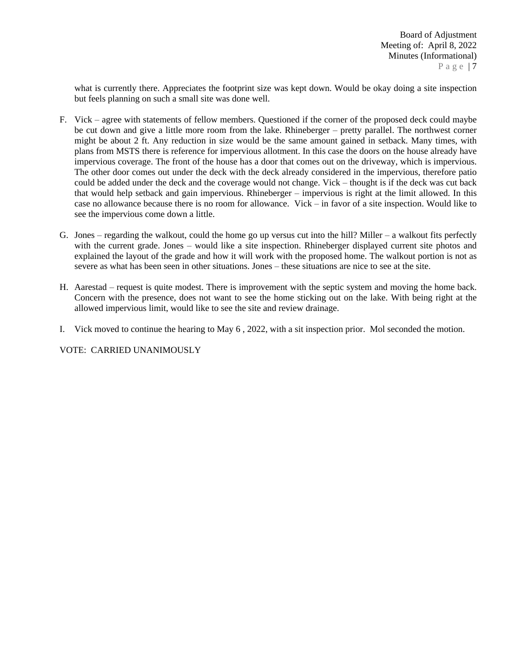what is currently there. Appreciates the footprint size was kept down. Would be okay doing a site inspection but feels planning on such a small site was done well.

- F. Vick agree with statements of fellow members. Questioned if the corner of the proposed deck could maybe be cut down and give a little more room from the lake. Rhineberger – pretty parallel. The northwest corner might be about 2 ft. Any reduction in size would be the same amount gained in setback. Many times, with plans from MSTS there is reference for impervious allotment. In this case the doors on the house already have impervious coverage. The front of the house has a door that comes out on the driveway, which is impervious. The other door comes out under the deck with the deck already considered in the impervious, therefore patio could be added under the deck and the coverage would not change. Vick – thought is if the deck was cut back that would help setback and gain impervious. Rhineberger – impervious is right at the limit allowed. In this case no allowance because there is no room for allowance. Vick – in favor of a site inspection. Would like to see the impervious come down a little.
- G. Jones regarding the walkout, could the home go up versus cut into the hill? Miller a walkout fits perfectly with the current grade. Jones – would like a site inspection. Rhineberger displayed current site photos and explained the layout of the grade and how it will work with the proposed home. The walkout portion is not as severe as what has been seen in other situations. Jones – these situations are nice to see at the site.
- H. Aarestad request is quite modest. There is improvement with the septic system and moving the home back. Concern with the presence, does not want to see the home sticking out on the lake. With being right at the allowed impervious limit, would like to see the site and review drainage.
- I. Vick moved to continue the hearing to May 6 , 2022, with a sit inspection prior. Mol seconded the motion.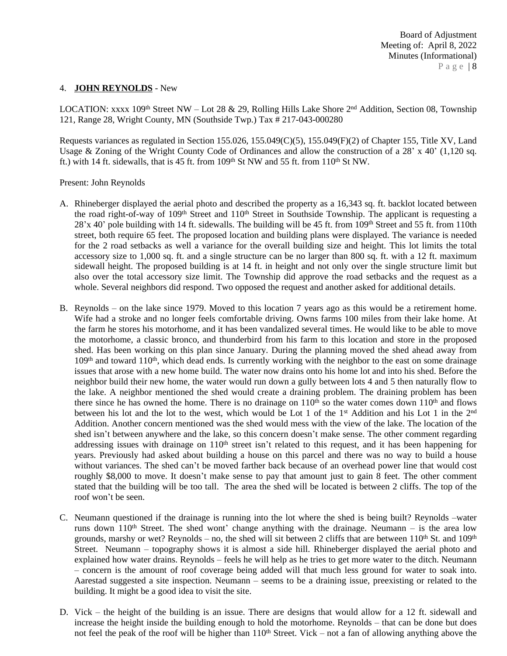#### 4. **JOHN REYNOLDS** - New

LOCATION: xxxx 109<sup>th</sup> Street NW – Lot 28 & 29, Rolling Hills Lake Shore 2<sup>nd</sup> Addition, Section 08, Township 121, Range 28, Wright County, MN (Southside Twp.) Tax # 217-043-000280

Requests variances as regulated in Section 155.026, 155.049(C)(5), 155.049(F)(2) of Chapter 155, Title XV, Land Usage & Zoning of the Wright County Code of Ordinances and allow the construction of a 28' x 40' (1,120 sq. ft.) with 14 ft. sidewalls, that is 45 ft. from  $109<sup>th</sup>$  St NW and 55 ft. from  $110<sup>th</sup>$  St NW.

Present: John Reynolds

- A. Rhineberger displayed the aerial photo and described the property as a 16,343 sq. ft. backlot located between the road right-of-way of 109<sup>th</sup> Street and 110<sup>th</sup> Street in Southside Township. The applicant is requesting a  $28'x$  40' pole building with 14 ft. sidewalls. The building will be 45 ft. from 109<sup>th</sup> Street and 55 ft. from 110th street, both require 65 feet. The proposed location and building plans were displayed. The variance is needed for the 2 road setbacks as well a variance for the overall building size and height. This lot limits the total accessory size to 1,000 sq. ft. and a single structure can be no larger than 800 sq. ft. with a 12 ft. maximum sidewall height. The proposed building is at 14 ft. in height and not only over the single structure limit but also over the total accessory size limit. The Township did approve the road setbacks and the request as a whole. Several neighbors did respond. Two opposed the request and another asked for additional details.
- B. Reynolds on the lake since 1979. Moved to this location 7 years ago as this would be a retirement home. Wife had a stroke and no longer feels comfortable driving. Owns farms 100 miles from their lake home. At the farm he stores his motorhome, and it has been vandalized several times. He would like to be able to move the motorhome, a classic bronco, and thunderbird from his farm to this location and store in the proposed shed. Has been working on this plan since January. During the planning moved the shed ahead away from 109<sup>th</sup> and toward 110<sup>th</sup>, which dead ends. Is currently working with the neighbor to the east on some drainage issues that arose with a new home build. The water now drains onto his home lot and into his shed. Before the neighbor build their new home, the water would run down a gully between lots 4 and 5 then naturally flow to the lake. A neighbor mentioned the shed would create a draining problem. The draining problem has been there since he has owned the home. There is no drainage on  $110<sup>th</sup>$  so the water comes down  $110<sup>th</sup>$  and flows between his lot and the lot to the west, which would be Lot 1 of the 1<sup>st</sup> Addition and his Lot 1 in the 2<sup>nd</sup> Addition. Another concern mentioned was the shed would mess with the view of the lake. The location of the shed isn't between anywhere and the lake, so this concern doesn't make sense. The other comment regarding addressing issues with drainage on 110<sup>th</sup> street isn't related to this request, and it has been happening for years. Previously had asked about building a house on this parcel and there was no way to build a house without variances. The shed can't be moved farther back because of an overhead power line that would cost roughly \$8,000 to move. It doesn't make sense to pay that amount just to gain 8 feet. The other comment stated that the building will be too tall. The area the shed will be located is between 2 cliffs. The top of the roof won't be seen.
- C. Neumann questioned if the drainage is running into the lot where the shed is being built? Reynolds –water runs down  $110<sup>th</sup>$  Street. The shed wont' change anything with the drainage. Neumann – is the area low grounds, marshy or wet? Reynolds – no, the shed will sit between 2 cliffs that are between  $110^{th}$  St. and  $109^{th}$ Street. Neumann – topography shows it is almost a side hill. Rhineberger displayed the aerial photo and explained how water drains. Reynolds – feels he will help as he tries to get more water to the ditch. Neumann – concern is the amount of roof coverage being added will that much less ground for water to soak into. Aarestad suggested a site inspection. Neumann – seems to be a draining issue, preexisting or related to the building. It might be a good idea to visit the site.
- D. Vick the height of the building is an issue. There are designs that would allow for a 12 ft. sidewall and increase the height inside the building enough to hold the motorhome. Reynolds – that can be done but does not feel the peak of the roof will be higher than  $110<sup>th</sup>$  Street. Vick – not a fan of allowing anything above the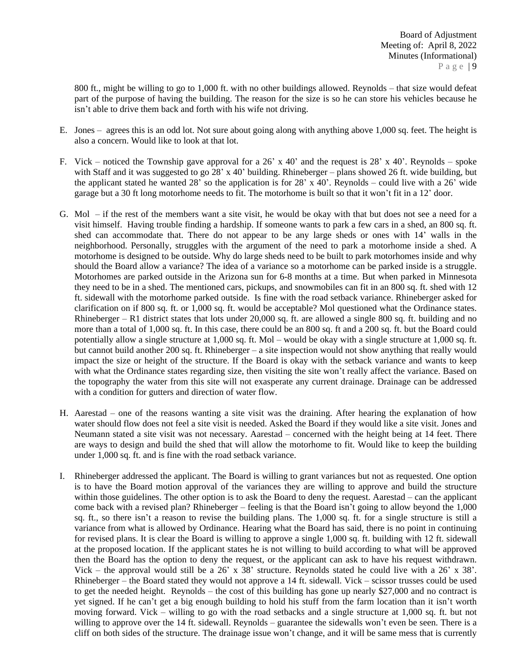800 ft., might be willing to go to 1,000 ft. with no other buildings allowed. Reynolds – that size would defeat part of the purpose of having the building. The reason for the size is so he can store his vehicles because he isn't able to drive them back and forth with his wife not driving.

- E. Jones agrees this is an odd lot. Not sure about going along with anything above 1,000 sq. feet. The height is also a concern. Would like to look at that lot.
- F. Vick noticed the Township gave approval for a 26' x 40' and the request is 28' x 40'. Reynolds spoke with Staff and it was suggested to go 28' x 40' building. Rhineberger – plans showed 26 ft. wide building, but the applicant stated he wanted 28' so the application is for 28' x 40'. Reynolds – could live with a 26' wide garage but a 30 ft long motorhome needs to fit. The motorhome is built so that it won't fit in a 12' door.
- G. Mol if the rest of the members want a site visit, he would be okay with that but does not see a need for a visit himself. Having trouble finding a hardship. If someone wants to park a few cars in a shed, an 800 sq. ft. shed can accommodate that. There do not appear to be any large sheds or ones with 14' walls in the neighborhood. Personally, struggles with the argument of the need to park a motorhome inside a shed. A motorhome is designed to be outside. Why do large sheds need to be built to park motorhomes inside and why should the Board allow a variance? The idea of a variance so a motorhome can be parked inside is a struggle. Motorhomes are parked outside in the Arizona sun for 6-8 months at a time. But when parked in Minnesota they need to be in a shed. The mentioned cars, pickups, and snowmobiles can fit in an 800 sq. ft. shed with 12 ft. sidewall with the motorhome parked outside. Is fine with the road setback variance. Rhineberger asked for clarification on if 800 sq. ft. or 1,000 sq. ft. would be acceptable? Mol questioned what the Ordinance states. Rhineberger – R1 district states that lots under 20,000 sq. ft. are allowed a single 800 sq. ft. building and no more than a total of 1,000 sq. ft. In this case, there could be an 800 sq. ft and a 200 sq. ft. but the Board could potentially allow a single structure at 1,000 sq. ft. Mol – would be okay with a single structure at 1,000 sq. ft. but cannot build another 200 sq. ft. Rhineberger – a site inspection would not show anything that really would impact the size or height of the structure. If the Board is okay with the setback variance and wants to keep with what the Ordinance states regarding size, then visiting the site won't really affect the variance. Based on the topography the water from this site will not exasperate any current drainage. Drainage can be addressed with a condition for gutters and direction of water flow.
- H. Aarestad one of the reasons wanting a site visit was the draining. After hearing the explanation of how water should flow does not feel a site visit is needed. Asked the Board if they would like a site visit. Jones and Neumann stated a site visit was not necessary. Aarestad – concerned with the height being at 14 feet. There are ways to design and build the shed that will allow the motorhome to fit. Would like to keep the building under 1,000 sq. ft. and is fine with the road setback variance.
- I. Rhineberger addressed the applicant. The Board is willing to grant variances but not as requested. One option is to have the Board motion approval of the variances they are willing to approve and build the structure within those guidelines. The other option is to ask the Board to deny the request. Aarestad – can the applicant come back with a revised plan? Rhineberger – feeling is that the Board isn't going to allow beyond the 1,000 sq. ft., so there isn't a reason to revise the building plans. The 1,000 sq. ft. for a single structure is still a variance from what is allowed by Ordinance. Hearing what the Board has said, there is no point in continuing for revised plans. It is clear the Board is willing to approve a single 1,000 sq. ft. building with 12 ft. sidewall at the proposed location. If the applicant states he is not willing to build according to what will be approved then the Board has the option to deny the request, or the applicant can ask to have his request withdrawn. Vick – the approval would still be a 26' x 38' structure. Reynolds stated he could live with a 26' x 38'. Rhineberger – the Board stated they would not approve a 14 ft. sidewall. Vick – scissor trusses could be used to get the needed height. Reynolds – the cost of this building has gone up nearly \$27,000 and no contract is yet signed. If he can't get a big enough building to hold his stuff from the farm location than it isn't worth moving forward. Vick – willing to go with the road setbacks and a single structure at 1,000 sq. ft. but not willing to approve over the 14 ft. sidewall. Reynolds – guarantee the sidewalls won't even be seen. There is a cliff on both sides of the structure. The drainage issue won't change, and it will be same mess that is currently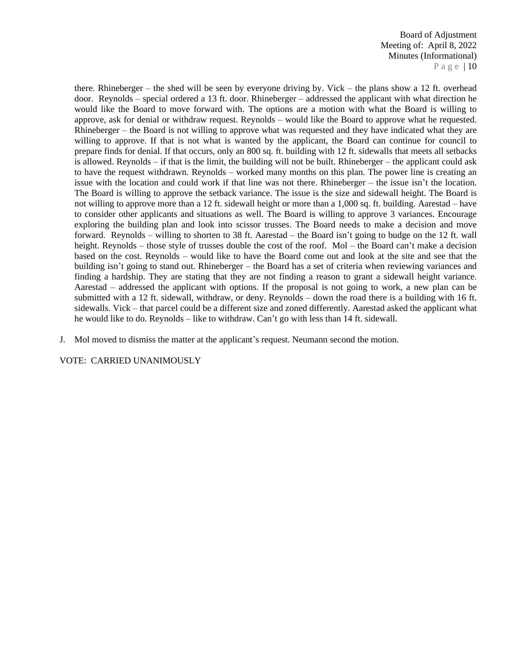Board of Adjustment Meeting of: April 8, 2022 Minutes (Informational) P a g e | 10

there. Rhineberger – the shed will be seen by everyone driving by. Vick – the plans show a 12 ft. overhead door. Reynolds – special ordered a 13 ft. door. Rhineberger – addressed the applicant with what direction he would like the Board to move forward with. The options are a motion with what the Board is willing to approve, ask for denial or withdraw request. Reynolds – would like the Board to approve what he requested. Rhineberger – the Board is not willing to approve what was requested and they have indicated what they are willing to approve. If that is not what is wanted by the applicant, the Board can continue for council to prepare finds for denial. If that occurs, only an 800 sq. ft. building with 12 ft. sidewalls that meets all setbacks is allowed. Reynolds – if that is the limit, the building will not be built. Rhineberger – the applicant could ask to have the request withdrawn. Reynolds – worked many months on this plan. The power line is creating an issue with the location and could work if that line was not there. Rhineberger – the issue isn't the location. The Board is willing to approve the setback variance. The issue is the size and sidewall height. The Board is not willing to approve more than a 12 ft. sidewall height or more than a 1,000 sq. ft. building. Aarestad – have to consider other applicants and situations as well. The Board is willing to approve 3 variances. Encourage exploring the building plan and look into scissor trusses. The Board needs to make a decision and move forward. Reynolds – willing to shorten to 38 ft. Aarestad – the Board isn't going to budge on the 12 ft. wall height. Reynolds – those style of trusses double the cost of the roof. Mol – the Board can't make a decision based on the cost. Reynolds – would like to have the Board come out and look at the site and see that the building isn't going to stand out. Rhineberger – the Board has a set of criteria when reviewing variances and finding a hardship. They are stating that they are not finding a reason to grant a sidewall height variance. Aarestad – addressed the applicant with options. If the proposal is not going to work, a new plan can be submitted with a 12 ft. sidewall, withdraw, or deny. Reynolds – down the road there is a building with 16 ft. sidewalls. Vick – that parcel could be a different size and zoned differently. Aarestad asked the applicant what he would like to do. Reynolds – like to withdraw. Can't go with less than 14 ft. sidewall.

J. Mol moved to dismiss the matter at the applicant's request. Neumann second the motion.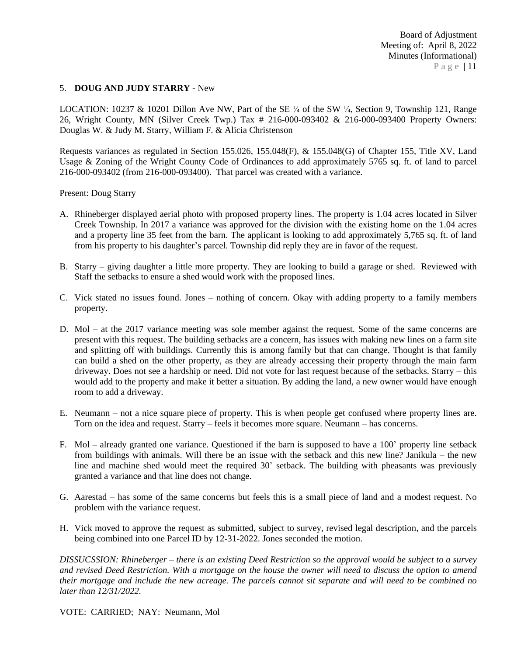### 5. **DOUG AND JUDY STARRY** - New

LOCATION: 10237 & 10201 Dillon Ave NW, Part of the SE  $\frac{1}{4}$  of the SW  $\frac{1}{4}$ , Section 9, Township 121, Range 26, Wright County, MN (Silver Creek Twp.) Tax # 216-000-093402 & 216-000-093400 Property Owners: Douglas W. & Judy M. Starry, William F. & Alicia Christenson

Requests variances as regulated in Section 155.026, 155.048(F), & 155.048(G) of Chapter 155, Title XV, Land Usage & Zoning of the Wright County Code of Ordinances to add approximately 5765 sq. ft. of land to parcel 216-000-093402 (from 216-000-093400). That parcel was created with a variance.

Present: Doug Starry

- A. Rhineberger displayed aerial photo with proposed property lines. The property is 1.04 acres located in Silver Creek Township. In 2017 a variance was approved for the division with the existing home on the 1.04 acres and a property line 35 feet from the barn. The applicant is looking to add approximately 5,765 sq. ft. of land from his property to his daughter's parcel. Township did reply they are in favor of the request.
- B. Starry giving daughter a little more property. They are looking to build a garage or shed. Reviewed with Staff the setbacks to ensure a shed would work with the proposed lines.
- C. Vick stated no issues found. Jones nothing of concern. Okay with adding property to a family members property.
- D. Mol at the 2017 variance meeting was sole member against the request. Some of the same concerns are present with this request. The building setbacks are a concern, has issues with making new lines on a farm site and splitting off with buildings. Currently this is among family but that can change. Thought is that family can build a shed on the other property, as they are already accessing their property through the main farm driveway. Does not see a hardship or need. Did not vote for last request because of the setbacks. Starry – this would add to the property and make it better a situation. By adding the land, a new owner would have enough room to add a driveway.
- E. Neumann not a nice square piece of property. This is when people get confused where property lines are. Torn on the idea and request. Starry – feels it becomes more square. Neumann – has concerns.
- F. Mol already granted one variance. Questioned if the barn is supposed to have a 100' property line setback from buildings with animals. Will there be an issue with the setback and this new line? Janikula – the new line and machine shed would meet the required 30' setback. The building with pheasants was previously granted a variance and that line does not change.
- G. Aarestad has some of the same concerns but feels this is a small piece of land and a modest request. No problem with the variance request.
- H. Vick moved to approve the request as submitted, subject to survey, revised legal description, and the parcels being combined into one Parcel ID by 12-31-2022. Jones seconded the motion.

DISSUCSSION: Rhineberger – there is an existing Deed Restriction so the approval would be subject to a survey and revised Deed Restriction. With a mortgage on the house the owner will need to discuss the option to amend their mortgage and include the new acreage. The parcels cannot sit separate and will need to be combined no *later than 12/31/2022.*

VOTE: CARRIED; NAY: Neumann, Mol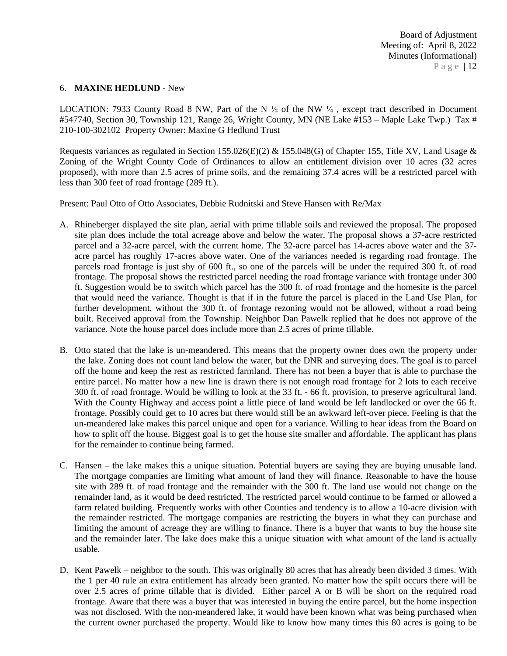### 6. **MAXINE HEDLUND** - New

LOCATION: 7933 County Road 8 NW, Part of the N  $\frac{1}{2}$  of the NW  $\frac{1}{4}$ , except tract described in Document #547740, Section 30, Township 121, Range 26, Wright County, MN (NE Lake #153 – Maple Lake Twp.) Tax # 210-100-302102 Property Owner: Maxine G Hedlund Trust

Requests variances as regulated in Section 155.026(E)(2) & 155.048(G) of Chapter 155, Title XV, Land Usage & Zoning of the Wright County Code of Ordinances to allow an entitlement division over 10 acres (32 acres proposed), with more than 2.5 acres of prime soils, and the remaining 37.4 acres will be a restricted parcel with less than 300 feet of road frontage (289 ft.).

Present: Paul Otto of Otto Associates, Debbie Rudnitski and Steve Hansen with Re/Max

- A. Rhineberger displayed the site plan, aerial with prime tillable soils and reviewed the proposal. The proposed site plan does include the total acreage above and below the water. The proposal shows a 37-acre restricted parcel and a 32-acre parcel, with the current home. The 32-acre parcel has 14-acres above water and the 37 acre parcel has roughly 17-acres above water. One of the variances needed is regarding road frontage. The parcels road frontage is just shy of 600 ft., so one of the parcels will be under the required 300 ft. of road frontage. The proposal shows the restricted parcel needing the road frontage variance with frontage under 300 ft. Suggestion would be to switch which parcel has the 300 ft. of road frontage and the homesite is the parcel that would need the variance. Thought is that if in the future the parcel is placed in the Land Use Plan, for further development, without the 300 ft. of frontage rezoning would not be allowed, without a road being built. Received approval from the Township. Neighbor Dan Pawelk replied that he does not approve of the variance. Note the house parcel does include more than 2.5 acres of prime tillable.
- B. Otto stated that the lake is un-meandered. This means that the property owner does own the property under the lake. Zoning does not count land below the water, but the DNR and surveying does. The goal is to parcel off the home and keep the rest as restricted farmland. There has not been a buyer that is able to purchase the entire parcel. No matter how a new line is drawn there is not enough road frontage for 2 lots to each receive 300 ft. of road frontage. Would be willing to look at the 33 ft. - 66 ft. provision, to preserve agricultural land. With the County Highway and access point a little piece of land would be left landlocked or over the 66 ft. frontage. Possibly could get to 10 acres but there would still be an awkward left-over piece. Feeling is that the un-meandered lake makes this parcel unique and open for a variance. Willing to hear ideas from the Board on how to split off the house. Biggest goal is to get the house site smaller and affordable. The applicant has plans for the remainder to continue being farmed.
- C. Hansen the lake makes this a unique situation. Potential buyers are saying they are buying unusable land. The mortgage companies are limiting what amount of land they will finance. Reasonable to have the house site with 289 ft. of road frontage and the remainder with the 300 ft. The land use would not change on the remainder land, as it would be deed restricted. The restricted parcel would continue to be farmed or allowed a farm related building. Frequently works with other Counties and tendency is to allow a 10-acre division with the remainder restricted. The mortgage companies are restricting the buyers in what they can purchase and limiting the amount of acreage they are willing to finance. There is a buyer that wants to buy the house site and the remainder later. The lake does make this a unique situation with what amount of the land is actually usable.
- D. Kent Pawelk neighbor to the south. This was originally 80 acres that has already been divided 3 times. With the 1 per 40 rule an extra entitlement has already been granted. No matter how the spilt occurs there will be over 2.5 acres of prime tillable that is divided. Either parcel A or B will be short on the required road frontage. Aware that there was a buyer that was interested in buying the entire parcel, but the home inspection was not disclosed. With the non-meandered lake, it would have been known what was being purchased when the current owner purchased the property. Would like to know how many times this 80 acres is going to be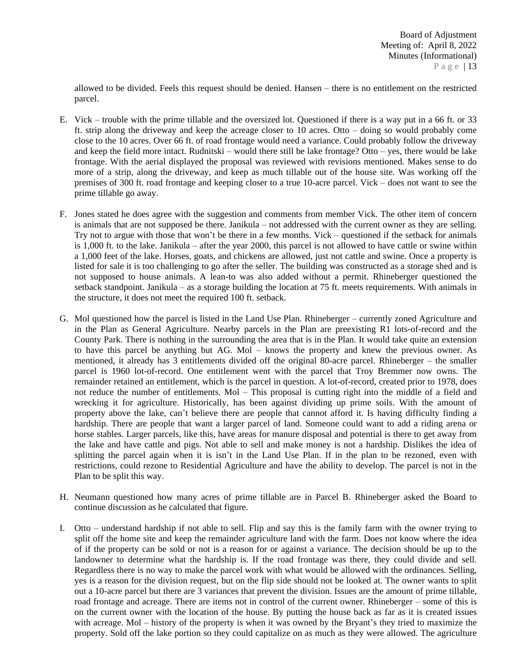allowed to be divided. Feels this request should be denied. Hansen – there is no entitlement on the restricted parcel.

- E. Vick trouble with the prime tillable and the oversized lot. Questioned if there is a way put in a 66 ft. or 33 ft. strip along the driveway and keep the acreage closer to 10 acres. Otto – doing so would probably come close to the 10 acres. Over 66 ft. of road frontage would need a variance. Could probably follow the driveway and keep the field more intact. Rudnitski – would there still be lake frontage? Otto – yes, there would be lake frontage. With the aerial displayed the proposal was reviewed with revisions mentioned. Makes sense to do more of a strip, along the driveway, and keep as much tillable out of the house site. Was working off the premises of 300 ft. road frontage and keeping closer to a true 10-acre parcel. Vick – does not want to see the prime tillable go away.
- F. Jones stated he does agree with the suggestion and comments from member Vick. The other item of concern is animals that are not supposed be there. Janikula – not addressed with the current owner as they are selling. Try not to argue with those that won't be there in a few months. Vick – questioned if the setback for animals is 1,000 ft. to the lake. Janikula – after the year 2000, this parcel is not allowed to have cattle or swine within a 1,000 feet of the lake. Horses, goats, and chickens are allowed, just not cattle and swine. Once a property is listed for sale it is too challenging to go after the seller. The building was constructed as a storage shed and is not supposed to house animals. A lean-to was also added without a permit. Rhineberger questioned the setback standpoint. Janikula – as a storage building the location at 75 ft. meets requirements. With animals in the structure, it does not meet the required 100 ft. setback.
- G. Mol questioned how the parcel is listed in the Land Use Plan. Rhineberger currently zoned Agriculture and in the Plan as General Agriculture. Nearby parcels in the Plan are preexisting R1 lots-of-record and the County Park. There is nothing in the surrounding the area that is in the Plan. It would take quite an extension to have this parcel be anything but AG. Mol – knows the property and knew the previous owner. As mentioned, it already has 3 entitlements divided off the original 80-acre parcel. Rhineberger – the smaller parcel is 1960 lot-of-record. One entitlement went with the parcel that Troy Bremmer now owns. The remainder retained an entitlement, which is the parcel in question. A lot-of-record, created prior to 1978, does not reduce the number of entitlements. Mol – This proposal is cutting right into the middle of a field and wrecking it for agriculture. Historically, has been against dividing up prime soils. With the amount of property above the lake, can't believe there are people that cannot afford it. Is having difficulty finding a hardship. There are people that want a larger parcel of land. Someone could want to add a riding arena or horse stables. Larger parcels, like this, have areas for manure disposal and potential is there to get away from the lake and have cattle and pigs. Not able to sell and make money is not a hardship. Dislikes the idea of splitting the parcel again when it is isn't in the Land Use Plan. If in the plan to be rezoned, even with restrictions, could rezone to Residential Agriculture and have the ability to develop. The parcel is not in the Plan to be split this way.
- H. Neumann questioned how many acres of prime tillable are in Parcel B. Rhineberger asked the Board to continue discussion as he calculated that figure.
- I. Otto understand hardship if not able to sell. Flip and say this is the family farm with the owner trying to split off the home site and keep the remainder agriculture land with the farm. Does not know where the idea of if the property can be sold or not is a reason for or against a variance. The decision should be up to the landowner to determine what the hardship is. If the road frontage was there, they could divide and sell. Regardless there is no way to make the parcel work with what would be allowed with the ordinances. Selling, yes is a reason for the division request, but on the flip side should not be looked at. The owner wants to split out a 10-acre parcel but there are 3 variances that prevent the division. Issues are the amount of prime tillable, road frontage and acreage. There are items not in control of the current owner. Rhineberger – some of this is on the current owner with the location of the house. By putting the house back as far as it is created issues with acreage. Mol – history of the property is when it was owned by the Bryant's they tried to maximize the property. Sold off the lake portion so they could capitalize on as much as they were allowed. The agriculture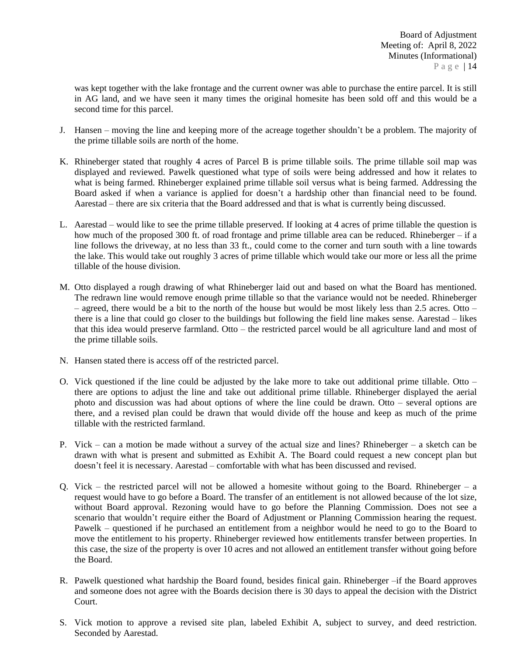was kept together with the lake frontage and the current owner was able to purchase the entire parcel. It is still in AG land, and we have seen it many times the original homesite has been sold off and this would be a second time for this parcel.

- J. Hansen moving the line and keeping more of the acreage together shouldn't be a problem. The majority of the prime tillable soils are north of the home.
- K. Rhineberger stated that roughly 4 acres of Parcel B is prime tillable soils. The prime tillable soil map was displayed and reviewed. Pawelk questioned what type of soils were being addressed and how it relates to what is being farmed. Rhineberger explained prime tillable soil versus what is being farmed. Addressing the Board asked if when a variance is applied for doesn't a hardship other than financial need to be found. Aarestad – there are six criteria that the Board addressed and that is what is currently being discussed.
- L. Aarestad would like to see the prime tillable preserved. If looking at 4 acres of prime tillable the question is how much of the proposed 300 ft. of road frontage and prime tillable area can be reduced. Rhineberger – if a line follows the driveway, at no less than 33 ft., could come to the corner and turn south with a line towards the lake. This would take out roughly 3 acres of prime tillable which would take our more or less all the prime tillable of the house division.
- M. Otto displayed a rough drawing of what Rhineberger laid out and based on what the Board has mentioned. The redrawn line would remove enough prime tillable so that the variance would not be needed. Rhineberger – agreed, there would be a bit to the north of the house but would be most likely less than 2.5 acres. Otto – there is a line that could go closer to the buildings but following the field line makes sense. Aarestad – likes that this idea would preserve farmland. Otto – the restricted parcel would be all agriculture land and most of the prime tillable soils.
- N. Hansen stated there is access off of the restricted parcel.
- O. Vick questioned if the line could be adjusted by the lake more to take out additional prime tillable. Otto there are options to adjust the line and take out additional prime tillable. Rhineberger displayed the aerial photo and discussion was had about options of where the line could be drawn. Otto – several options are there, and a revised plan could be drawn that would divide off the house and keep as much of the prime tillable with the restricted farmland.
- P. Vick can a motion be made without a survey of the actual size and lines? Rhineberger a sketch can be drawn with what is present and submitted as Exhibit A. The Board could request a new concept plan but doesn't feel it is necessary. Aarestad – comfortable with what has been discussed and revised.
- Q. Vick the restricted parcel will not be allowed a homesite without going to the Board. Rhineberger a request would have to go before a Board. The transfer of an entitlement is not allowed because of the lot size, without Board approval. Rezoning would have to go before the Planning Commission. Does not see a scenario that wouldn't require either the Board of Adjustment or Planning Commission hearing the request. Pawelk – questioned if he purchased an entitlement from a neighbor would he need to go to the Board to move the entitlement to his property. Rhineberger reviewed how entitlements transfer between properties. In this case, the size of the property is over 10 acres and not allowed an entitlement transfer without going before the Board.
- R. Pawelk questioned what hardship the Board found, besides finical gain. Rhineberger –if the Board approves and someone does not agree with the Boards decision there is 30 days to appeal the decision with the District Court.
- S. Vick motion to approve a revised site plan, labeled Exhibit A, subject to survey, and deed restriction. Seconded by Aarestad.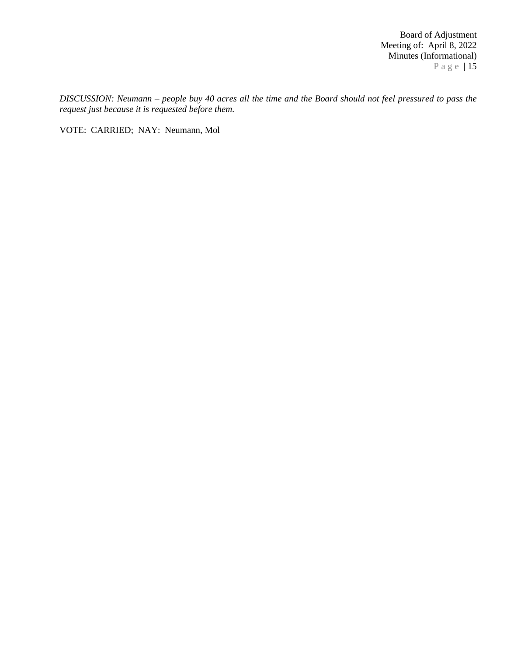Board of Adjustment Meeting of: April 8, 2022 Minutes (Informational) P a g e | 15

DISCUSSION: Neumann - people buy 40 acres all the time and the Board should not feel pressured to pass the *request just because it is requested before them.* 

VOTE: CARRIED; NAY: Neumann, Mol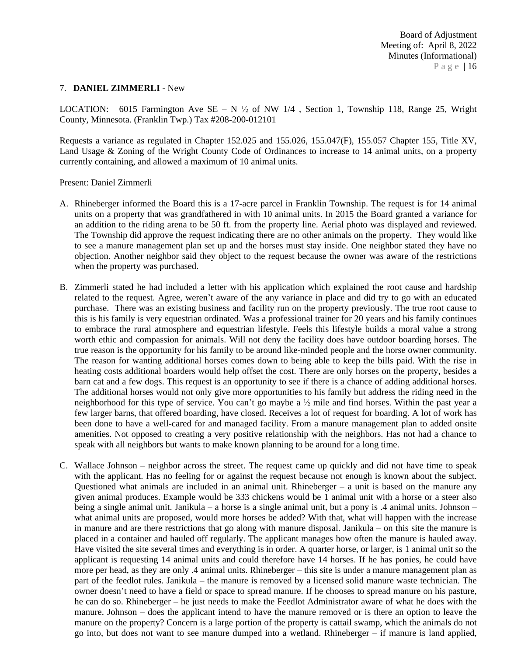### 7. **DANIEL ZIMMERLI** - New

LOCATION: 6015 Farmington Ave SE – N  $\frac{1}{2}$  of NW 1/4, Section 1, Township 118, Range 25, Wright County, Minnesota. (Franklin Twp.) Tax #208-200-012101

Requests a variance as regulated in Chapter 152.025 and 155.026, 155.047(F), 155.057 Chapter 155, Title XV, Land Usage & Zoning of the Wright County Code of Ordinances to increase to 14 animal units, on a property currently containing, and allowed a maximum of 10 animal units.

#### Present: Daniel Zimmerli

- A. Rhineberger informed the Board this is a 17-acre parcel in Franklin Township. The request is for 14 animal units on a property that was grandfathered in with 10 animal units. In 2015 the Board granted a variance for an addition to the riding arena to be 50 ft. from the property line. Aerial photo was displayed and reviewed. The Township did approve the request indicating there are no other animals on the property. They would like to see a manure management plan set up and the horses must stay inside. One neighbor stated they have no objection. Another neighbor said they object to the request because the owner was aware of the restrictions when the property was purchased.
- B. Zimmerli stated he had included a letter with his application which explained the root cause and hardship related to the request. Agree, weren't aware of the any variance in place and did try to go with an educated purchase. There was an existing business and facility run on the property previously. The true root cause to this is his family is very equestrian ordinated. Was a professional trainer for 20 years and his family continues to embrace the rural atmosphere and equestrian lifestyle. Feels this lifestyle builds a moral value a strong worth ethic and compassion for animals. Will not deny the facility does have outdoor boarding horses. The true reason is the opportunity for his family to be around like-minded people and the horse owner community. The reason for wanting additional horses comes down to being able to keep the bills paid. With the rise in heating costs additional boarders would help offset the cost. There are only horses on the property, besides a barn cat and a few dogs. This request is an opportunity to see if there is a chance of adding additional horses. The additional horses would not only give more opportunities to his family but address the riding need in the neighborhood for this type of service. You can't go maybe a  $\frac{1}{2}$  mile and find horses. Within the past year a few larger barns, that offered boarding, have closed. Receives a lot of request for boarding. A lot of work has been done to have a well-cared for and managed facility. From a manure management plan to added onsite amenities. Not opposed to creating a very positive relationship with the neighbors. Has not had a chance to speak with all neighbors but wants to make known planning to be around for a long time.
- C. Wallace Johnson neighbor across the street. The request came up quickly and did not have time to speak with the applicant. Has no feeling for or against the request because not enough is known about the subject. Questioned what animals are included in an animal unit. Rhineberger – a unit is based on the manure any given animal produces. Example would be 333 chickens would be 1 animal unit with a horse or a steer also being a single animal unit. Janikula – a horse is a single animal unit, but a pony is .4 animal units. Johnson – what animal units are proposed, would more horses be added? With that, what will happen with the increase in manure and are there restrictions that go along with manure disposal. Janikula – on this site the manure is placed in a container and hauled off regularly. The applicant manages how often the manure is hauled away. Have visited the site several times and everything is in order. A quarter horse, or larger, is 1 animal unit so the applicant is requesting 14 animal units and could therefore have 14 horses. If he has ponies, he could have more per head, as they are only .4 animal units. Rhineberger – this site is under a manure management plan as part of the feedlot rules. Janikula – the manure is removed by a licensed solid manure waste technician. The owner doesn't need to have a field or space to spread manure. If he chooses to spread manure on his pasture, he can do so. Rhineberger – he just needs to make the Feedlot Administrator aware of what he does with the manure. Johnson – does the applicant intend to have the manure removed or is there an option to leave the manure on the property? Concern is a large portion of the property is cattail swamp, which the animals do not go into, but does not want to see manure dumped into a wetland. Rhineberger – if manure is land applied,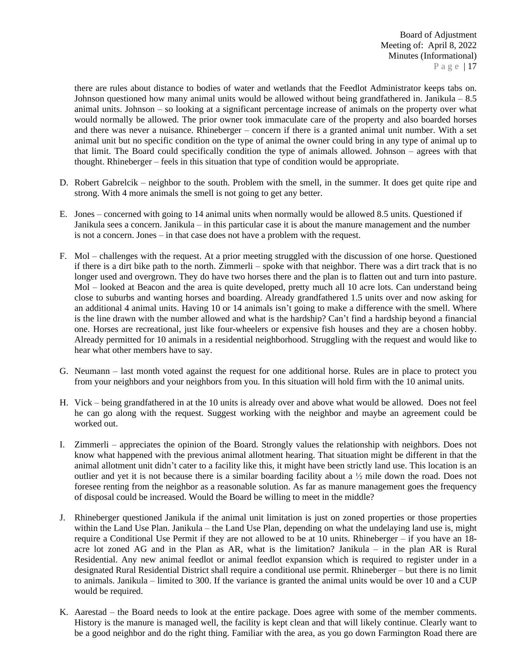there are rules about distance to bodies of water and wetlands that the Feedlot Administrator keeps tabs on. Johnson questioned how many animal units would be allowed without being grandfathered in. Janikula – 8.5 animal units. Johnson – so looking at a significant percentage increase of animals on the property over what would normally be allowed. The prior owner took immaculate care of the property and also boarded horses and there was never a nuisance. Rhineberger – concern if there is a granted animal unit number. With a set animal unit but no specific condition on the type of animal the owner could bring in any type of animal up to that limit. The Board could specifically condition the type of animals allowed. Johnson – agrees with that thought. Rhineberger – feels in this situation that type of condition would be appropriate.

- D. Robert Gabrelcik neighbor to the south. Problem with the smell, in the summer. It does get quite ripe and strong. With 4 more animals the smell is not going to get any better.
- E. Jones concerned with going to 14 animal units when normally would be allowed 8.5 units. Questioned if Janikula sees a concern. Janikula – in this particular case it is about the manure management and the number is not a concern. Jones – in that case does not have a problem with the request.
- F. Mol challenges with the request. At a prior meeting struggled with the discussion of one horse. Questioned if there is a dirt bike path to the north. Zimmerli – spoke with that neighbor. There was a dirt track that is no longer used and overgrown. They do have two horses there and the plan is to flatten out and turn into pasture. Mol – looked at Beacon and the area is quite developed, pretty much all 10 acre lots. Can understand being close to suburbs and wanting horses and boarding. Already grandfathered 1.5 units over and now asking for an additional 4 animal units. Having 10 or 14 animals isn't going to make a difference with the smell. Where is the line drawn with the number allowed and what is the hardship? Can't find a hardship beyond a financial one. Horses are recreational, just like four-wheelers or expensive fish houses and they are a chosen hobby. Already permitted for 10 animals in a residential neighborhood. Struggling with the request and would like to hear what other members have to say.
- G. Neumann last month voted against the request for one additional horse. Rules are in place to protect you from your neighbors and your neighbors from you. In this situation will hold firm with the 10 animal units.
- H. Vick being grandfathered in at the 10 units is already over and above what would be allowed. Does not feel he can go along with the request. Suggest working with the neighbor and maybe an agreement could be worked out.
- I. Zimmerli appreciates the opinion of the Board. Strongly values the relationship with neighbors. Does not know what happened with the previous animal allotment hearing. That situation might be different in that the animal allotment unit didn't cater to a facility like this, it might have been strictly land use. This location is an outlier and yet it is not because there is a similar boarding facility about a  $\frac{1}{2}$  mile down the road. Does not foresee renting from the neighbor as a reasonable solution. As far as manure management goes the frequency of disposal could be increased. Would the Board be willing to meet in the middle?
- J. Rhineberger questioned Janikula if the animal unit limitation is just on zoned properties or those properties within the Land Use Plan. Janikula – the Land Use Plan, depending on what the undelaying land use is, might require a Conditional Use Permit if they are not allowed to be at 10 units. Rhineberger – if you have an 18 acre lot zoned AG and in the Plan as AR, what is the limitation? Janikula – in the plan AR is Rural Residential. Any new animal feedlot or animal feedlot expansion which is required to register under in a designated Rural Residential District shall require a conditional use permit. Rhineberger – but there is no limit to animals. Janikula – limited to 300. If the variance is granted the animal units would be over 10 and a CUP would be required.
- K. Aarestad the Board needs to look at the entire package. Does agree with some of the member comments. History is the manure is managed well, the facility is kept clean and that will likely continue. Clearly want to be a good neighbor and do the right thing. Familiar with the area, as you go down Farmington Road there are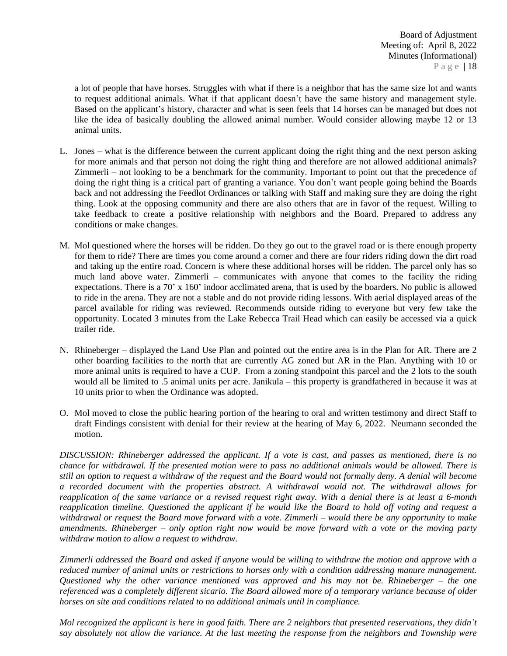a lot of people that have horses. Struggles with what if there is a neighbor that has the same size lot and wants to request additional animals. What if that applicant doesn't have the same history and management style. Based on the applicant's history, character and what is seen feels that 14 horses can be managed but does not like the idea of basically doubling the allowed animal number. Would consider allowing maybe 12 or 13 animal units.

- L. Jones what is the difference between the current applicant doing the right thing and the next person asking for more animals and that person not doing the right thing and therefore are not allowed additional animals? Zimmerli – not looking to be a benchmark for the community. Important to point out that the precedence of doing the right thing is a critical part of granting a variance. You don't want people going behind the Boards back and not addressing the Feedlot Ordinances or talking with Staff and making sure they are doing the right thing. Look at the opposing community and there are also others that are in favor of the request. Willing to take feedback to create a positive relationship with neighbors and the Board. Prepared to address any conditions or make changes.
- M. Mol questioned where the horses will be ridden. Do they go out to the gravel road or is there enough property for them to ride? There are times you come around a corner and there are four riders riding down the dirt road and taking up the entire road. Concern is where these additional horses will be ridden. The parcel only has so much land above water. Zimmerli – communicates with anyone that comes to the facility the riding expectations. There is a 70' x 160' indoor acclimated arena, that is used by the boarders. No public is allowed to ride in the arena. They are not a stable and do not provide riding lessons. With aerial displayed areas of the parcel available for riding was reviewed. Recommends outside riding to everyone but very few take the opportunity. Located 3 minutes from the Lake Rebecca Trail Head which can easily be accessed via a quick trailer ride.
- N. Rhineberger displayed the Land Use Plan and pointed out the entire area is in the Plan for AR. There are 2 other boarding facilities to the north that are currently AG zoned but AR in the Plan. Anything with 10 or more animal units is required to have a CUP. From a zoning standpoint this parcel and the 2 lots to the south would all be limited to .5 animal units per acre. Janikula – this property is grandfathered in because it was at 10 units prior to when the Ordinance was adopted.
- O. Mol moved to close the public hearing portion of the hearing to oral and written testimony and direct Staff to draft Findings consistent with denial for their review at the hearing of May 6, 2022. Neumann seconded the motion.

*DISCUSSION: Rhineberger addressed the applicant. If a vote is cast, and passes as mentioned, there is no* chance for withdrawal. If the presented motion were to pass no additional animals would be allowed. There is still an option to request a withdraw of the request and the Board would not formally deny. A denial will become *a recorded document with the properties abstract. A withdrawal would not. The withdrawal allows for* reapplication of the same variance or a revised request right away. With a denial there is at least a 6-month reapplication timeline. Ouestioned the applicant if he would like the Board to hold off voting and request a withdrawal or request the Board move forward with a vote. Zimmerli  $-$  would there be any opportunity to make amendments. Rhineberger  $-$  only option right now would be move forward with a vote or the moving party *withdraw motion to allow a request to withdraw.*

Zimmerli addressed the Board and asked if anyone would be willing to withdraw the motion and approve with a *reduced number of animal units or restrictions to horses only with a condition addressing manure management. Questioned why the other variance mentioned was approved and his may not be. Rhineberger – the one* referenced was a completely different sicario. The Board allowed more of a temporary variance because of older *horses on site and conditions related to no additional animals until in compliance.*

Mol recognized the applicant is here in good faith. There are 2 neighbors that presented reservations, they didn't say absolutely not allow the variance. At the last meeting the response from the neighbors and Township were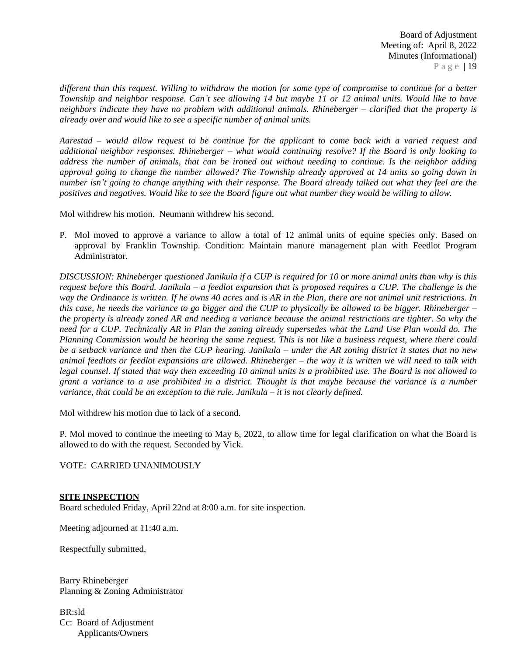different than this request. Willing to withdraw the motion for some type of compromise to continue for a better Township and neighbor response. Can't see allowing 14 but maybe 11 or 12 animal units. Would like to have *neighbors indicate they have no problem with additional animals. Rhineberger – clarified that the property is already over and would like to see a specific number of animal units.*

Aarestad – would allow request to be continue for the applicant to come back with a varied request and *additional neighbor responses. Rhineberger – what would continuing resolve? If the Board is only looking to* address the number of animals, that can be ironed out without needing to continue. Is the neighbor adding approval going to change the number allowed? The Township already approved at 14 units so going down in number isn't going to change anything with their response. The Board already talked out what they feel are the *positives and negatives. Would like to see the Board figure out what number they would be willing to allow.*

Mol withdrew his motion. Neumann withdrew his second.

P. Mol moved to approve a variance to allow a total of 12 animal units of equine species only. Based on approval by Franklin Township. Condition: Maintain manure management plan with Feedlot Program Administrator.

DISCUSSION: Rhineberger questioned Janikula if a CUP is required for 10 or more animal units than why is this request before this Board. Janikula – a feedlot expansion that is proposed requires a CUP. The challenge is the way the Ordinance is written. If he owns 40 acres and is AR in the Plan, there are not animal unit restrictions. In this case, he needs the variance to go bigger and the CUP to physically be allowed to be bigger. Rhineberger  $$ the property is already zoned AR and needing a variance because the animal restrictions are tighter. So why the need for a CUP. Technically AR in Plan the zoning already supersedes what the Land Use Plan would do. The Planning Commission would be hearing the same request. This is not like a business request, where there could be a setback variance and then the CUP hearing. Janikula  $-$  under the AR zoning district it states that no new animal feedlots or feedlot expansions are allowed. Rhineberger  $-$  the way it is written we will need to talk with legal counsel. If stated that way then exceeding 10 animal units is a prohibited use. The Board is not allowed to grant a variance to a use prohibited in a district. Thought is that maybe because the variance is a number *variance, that could be an exception to the rule. Janikula – it is not clearly defined.* 

Mol withdrew his motion due to lack of a second.

P. Mol moved to continue the meeting to May 6, 2022, to allow time for legal clarification on what the Board is allowed to do with the request. Seconded by Vick.

VOTE: CARRIED UNANIMOUSLY

## **SITE INSPECTION**

Board scheduled Friday, April 22nd at 8:00 a.m. for site inspection.

Meeting adjourned at 11:40 a.m.

Respectfully submitted,

Barry Rhineberger Planning & Zoning Administrator

BR:sld Cc: Board of Adjustment Applicants/Owners